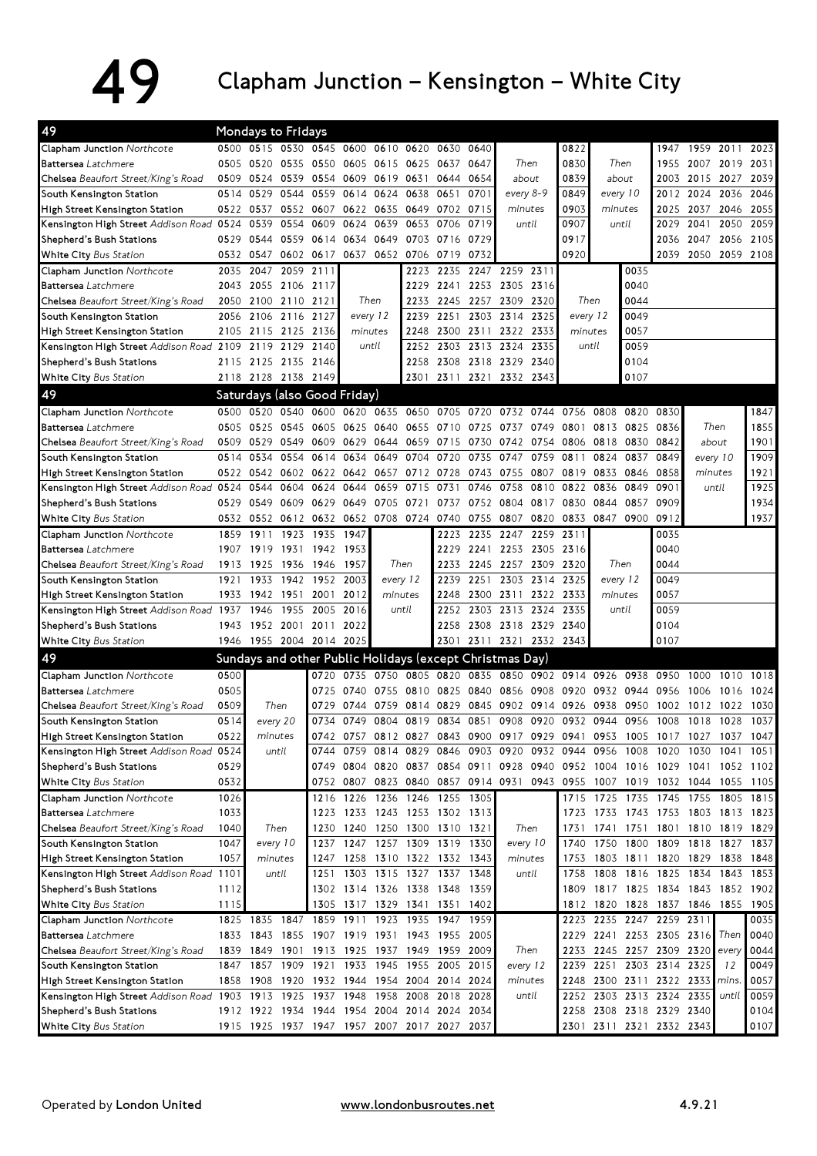## 49 Clapham Junction – Kensington – White City

| 49                                                 |      | Mondays to Fridays           |           |                |                                              |          |                                              |           |           |                                                                            |           |         |          |                                    |                     |                |                |      |
|----------------------------------------------------|------|------------------------------|-----------|----------------|----------------------------------------------|----------|----------------------------------------------|-----------|-----------|----------------------------------------------------------------------------|-----------|---------|----------|------------------------------------|---------------------|----------------|----------------|------|
| <b>Clapham Junction Northcote</b>                  |      |                              |           |                |                                              |          | 0500 0515 0530 0545 0600 0610 0620 0630 0640 |           |           |                                                                            |           | 0822    |          |                                    |                     | 1947 1959 2011 |                | 2023 |
| Battersea Latchmere                                |      | 0505 0520 0535               |           |                |                                              |          | 0550 0605 0615 0625 0637 0647                |           |           | Then                                                                       |           | 0830    |          | Then                               | 1955                | 2007 2019      |                | 2031 |
| <b>Chelsea</b> Beaufort Street/King's Road         |      | 0509 0524 0539               |           |                | 0554 0609 0619 0631                          |          |                                              |           | 0644 0654 | about                                                                      |           | 0839    |          | about                              |                     | 2015 2027      |                | 2039 |
| South Kensington Station                           |      | 0514 0529 0544 0559          |           |                | 0614 0624 0638                               |          |                                              | 0651 0701 |           | every 8-9                                                                  |           | 0849    |          | every 10                           | 2012                | 2024 2036      |                | 2046 |
| High Street Kensington Station                     |      | 0522 0537 0552 0607          |           |                | 0622 0635                                    |          | 0649                                         | 0702 0715 |           | minutes                                                                    |           | 0903    |          | minutes                            | 2025                | 2037 2046      |                | 2055 |
| Kensington High Street Addison Road 0524           |      |                              | 0539 0554 | 0609           | 0624<br>0639                                 |          | 0653                                         | 0706      | 0719      | until                                                                      |           | 0907    | until    |                                    | 2029                | 2041           | 2050           | 2059 |
| Shepherd's Bush Stations                           |      |                              |           |                | 0529 0544 0559 0614 0634 0649 0703 0716 0729 |          |                                              |           |           |                                                                            |           | 0917    |          |                                    | 2036                |                | 2047 2056 2105 |      |
| White City Bus Station                             |      |                              |           |                |                                              |          | 0532 0547 0602 0617 0637 0652 0706 0719 0732 |           |           |                                                                            |           | 0920    |          |                                    | 2039                | 2050 2059 2108 |                |      |
| Clapham Junction Northcote                         |      | 2035 2047 2059 2111          |           |                |                                              |          | 2223                                         |           |           | 2235 2247 2259 2311                                                        |           |         |          | 0035                               |                     |                |                |      |
| Battersea Latchmere                                |      | 2043 2055 2106 2117          |           |                |                                              |          | 2229                                         |           |           | 2241 2253 2305 2316                                                        |           |         |          | 0040                               |                     |                |                |      |
| <b>Chelsea</b> Beaufort Street/King's Road         |      | 2050 2100 2110 2121          |           |                |                                              | Then     | 2233                                         |           |           | 2245 2257 2309 2320                                                        |           |         | Then     | 0044                               |                     |                |                |      |
| South Kensington Station                           |      | 2056 2106 2116               |           | 2127           |                                              | every 12 | 2239                                         |           | 2251 2303 | 2314                                                                       | 2325      |         | every 12 | 0049                               |                     |                |                |      |
| High Street Kensington Station                     |      | 2105 2115 2125               |           | 2136           |                                              | minutes  | 2248                                         |           | 2300 2311 | 2322                                                                       | 2333      | minutes |          | 0057                               |                     |                |                |      |
| Kensington High Street Addison Road 2109 2119 2129 |      |                              |           | 2140           | until                                        |          | 2252                                         |           | 2303 2313 | 2324                                                                       | 2335      | until   |          | 0059                               |                     |                |                |      |
| Shepherd's Bush Stations                           |      | 2115 2125 2135 2146          |           |                |                                              |          |                                              |           |           | 2258 2308 2318 2329 2340                                                   |           |         |          | 0104                               |                     |                |                |      |
| White City Bus Station                             |      | 2118 2128 2138 2149          |           |                |                                              |          |                                              |           |           | 2301 2311 2321 2332 2343                                                   |           |         |          | 0107                               |                     |                |                |      |
| 49                                                 |      | Saturdays (also Good Friday) |           |                |                                              |          |                                              |           |           |                                                                            |           |         |          |                                    |                     |                |                |      |
| <b>Clapham Junction Northcote</b>                  |      |                              |           |                |                                              |          |                                              |           |           | 0500 0520 0540 0600 0620 0635 0650 0705 0720 0732 0744 0756 0808 0820 0830 |           |         |          |                                    |                     |                |                | 1847 |
| <b>Battersea</b> Latchmere                         |      | 0505 0525 0545               |           |                | 0605 0625 0640                               |          | 0655 0710 0725                               |           |           | 0737 0749 0801 0813 0825 0836                                              |           |         |          |                                    |                     | Then           |                | 1855 |
| <b>Chelsea</b> Beaufort Street/King's Road         |      | 0509 0529 0549               |           |                |                                              |          | 0609 0629 0644 0659 0715 0730                |           |           | 0742 0754 0806                                                             |           |         | 0818     | 0830 0842                          |                     | about          |                | 1901 |
| South Kensington Station                           |      |                              |           |                |                                              |          | 0514 0534 0554 0614 0634 0649 0704 0720 0735 |           |           | 0747                                                                       | 0759      | 0811    | 0824     | 0837                               | 0849                |                | every 10       | 1909 |
| High Street Kensington Station                     |      |                              |           |                |                                              |          | 0522 0542 0602 0622 0642 0657 0712 0728 0743 |           |           | 0755                                                                       | 0807      | 0819    | 0833     | 0846                               | 0858                | minutes        |                | 1921 |
| Kensington High Street Addison Road 0524           |      | 0544 0604                    |           | 0624           | 0644                                         | 0659     | 0715                                         | 0731      | 0746      | 0758                                                                       | 0810      | 0822    | 0836     | 0849                               | 0901                |                | until          | 1925 |
| Shepherd's Bush Stations                           |      |                              |           |                |                                              |          |                                              |           |           | 0529 0549 0609 0629 0649 0705 0721 0737 0752 0804 0817                     |           | 0830    | 0844     | 0857                               | 0909                |                |                | 1934 |
| <b>White City</b> Bus Station                      |      |                              |           |                |                                              |          | 0532 0552 0612 0632 0652 0708 0724 0740 0755 |           |           | 0807 0820 0833 0847 0900                                                   |           |         |          |                                    | 0912                |                |                | 1937 |
| Clapham Junction Northcote                         |      | 1859 1911 1923 1935          |           |                | 1947                                         |          |                                              |           |           | 2223 2235 2247                                                             | 2259 2311 |         |          |                                    | 0035                |                |                |      |
| Battersea Latchmere                                |      | 1907 1919 1931               |           | 1942 1953      |                                              |          |                                              |           |           | 2229 2241 2253 2305 2316                                                   |           |         |          |                                    | 0040                |                |                |      |
| <b>Chelsea</b> Beaufort Street/King's Road         |      | 1913 1925 1936 1946          |           |                | 1957                                         |          | Then                                         |           |           | 2233 2245 2257 2309 2320                                                   |           |         | Then     |                                    | 0044                |                |                |      |
| South Kensington Station                           | 1921 | 1933                         |           | 1942 1952 2003 |                                              |          | every 12                                     |           |           | 2239 2251 2303 2314                                                        |           | 2325    | every 12 |                                    | 0049                |                |                |      |
| High Street Kensington Station                     |      | 1933 1942 1951               |           | 2001           | 2012                                         |          | minutes                                      |           |           | 2248 2300 2311 2322 2333                                                   |           |         |          | minutes                            | 0057                |                |                |      |
| Kensington High Street Addison Road 1937           |      | 1946                         | 1955      | 2005           | 2016                                         |          | until                                        |           |           | 2252 2303 2313 2324                                                        |           | 2335    |          | until                              | 0059                |                |                |      |
| Shepherd's Bush Stations                           |      | 1943 1952 2001 2011 2022     |           |                |                                              |          |                                              |           |           | 2258 2308 2318 2329 2340                                                   |           |         |          |                                    | 0104                |                |                |      |
| White City Bus Station                             |      | 1946 1955 2004 2014 2025     |           |                |                                              |          |                                              |           |           | 2301 2311 2321 2332 2343                                                   |           |         |          |                                    | 0107                |                |                |      |
| 49                                                 |      |                              |           |                |                                              |          |                                              |           |           | Sundays and other Public Holidays (except Christmas Day)                   |           |         |          |                                    |                     |                |                |      |
| <b>Clapham Junction Northcote</b>                  | 0500 |                              |           | 0720           |                                              |          |                                              |           |           | 0735 0750 0805 0820 0835 0850 0902 0914 0926 0938                          |           |         |          |                                    | 0950                | 1000           | 1010           | 1018 |
| <b>Battersea</b> Latchmere                         | 0505 |                              |           | 0725           |                                              |          | 0740 0755 0810 0825 0840                     |           |           | 0856 0908 0920                                                             |           |         |          | 0932 0944                          | 0956                | 1006           | 1016           | 1024 |
| <b>Chelsea</b> Beaufort Street/King's Road         | 0509 | Then                         |           | 0729           | 0744                                         | 0759     | 0814                                         |           | 0829 0845 | 0902 0914 0926                                                             |           |         | 0938     | 0950                               | 1002                | 1012           | 1022           | 1030 |
| South Kensington Station                           | 0514 |                              | every 20  |                |                                              |          |                                              |           |           | 0734 0749 0804 0819 0834 0851 0908 0920 0932 0944 0956 1008 1018 1028      |           |         |          |                                    |                     |                |                | 1037 |
| High Street Kensington Station                     | 0522 |                              | minutes   |                |                                              |          |                                              |           |           | 0742 0757 0812 0827 0843 0900 0917 0929 0941 0953 1005 1017 1027 1037 1047 |           |         |          |                                    |                     |                |                |      |
| Kensington High Street Addison Road 0524           |      |                              | until     | 0744           |                                              |          | 0759 0814 0829                               |           |           | 0846 0903 0920 0932 0944                                                   |           |         |          | 0956 1008                          | 1020 1030 1041      |                |                | 1051 |
| Shepherd's Bush Stations                           | 0529 |                              |           |                | 0749 0804 0820 0837                          |          |                                              |           | 0854 0911 |                                                                            |           |         |          | 0928 0940 0952 1004 1016 1029 1041 |                     |                | 1052 1102      |      |
| <b>White City</b> Bus Station                      | 0532 |                              |           |                |                                              |          |                                              |           |           | 0752 0807 0823 0840 0857 0914 0931 0943 0955 1007 1019 1032 1044 1055 1105 |           |         |          |                                    |                     |                |                |      |
| Clapham Junction Northcote                         | 1026 |                              |           | 1216           |                                              |          | 1226 1236 1246                               | 1255 1305 |           |                                                                            |           | 1715    |          | 1725 1735                          | 1745 1755 1805 1815 |                |                |      |
| Battersea Latchmere                                | 1033 |                              |           | 1223           |                                              |          | 1233 1243 1253 1302 1313                     |           |           |                                                                            |           | 1723    |          | 1733 1743 1753 1803 1813 1823      |                     |                |                |      |
| Chelsea Beaufort Street/King's Road                | 1040 |                              | Then      | 1230           |                                              |          | 1240 1250 1300 1310 1321                     |           |           | Then                                                                       |           | 1731    | 1741     | 1751                               | 1801 1810 1819 1829 |                |                |      |
| South Kensington Station                           | 1047 |                              | every 10  | 1237           |                                              |          | 1247 1257 1309 1319 1330                     |           |           | every 10                                                                   |           | 1740    |          | 1750 1800 1809 1818 1827           |                     |                |                | 1837 |
| High Street Kensington Station                     | 1057 |                              | minutes   | 1247           |                                              |          | 1258 1310 1322 1332 1343                     |           |           | minutes                                                                    |           | 1753    |          | 1803 1811 1820 1829 1838 1848      |                     |                |                |      |
| Kensington High Street Addison Road                | 1101 |                              | until     | 1251           |                                              |          | 1303 1315 1327 1337 1348                     |           |           | until                                                                      |           | 1758    |          | 1808 1816 1825 1834                |                     |                | 1843           | 1853 |
| Shepherd's Bush Stations                           | 1112 |                              |           |                |                                              |          | 1302 1314 1326 1338 1348 1359                |           |           |                                                                            |           |         |          | 1809 1817 1825 1834 1843 1852 1902 |                     |                |                |      |
| White City Bus Station                             | 1115 |                              |           |                |                                              |          | 1305 1317 1329 1341 1351 1402                |           |           |                                                                            |           |         |          | 1812 1820 1828 1837 1846 1855 1905 |                     |                |                |      |
| Clapham Junction Northcote                         |      | 1825 1835                    | 1847      | 1859           | 1911                                         |          | 1923 1935                                    | 1947 1959 |           |                                                                            |           |         |          | 2223 2235 2247 2259 2311           |                     |                |                | 0035 |
| Battersea Latchmere                                |      | 1833 1843                    | 1855      |                |                                              |          | 1907 1919 1931 1943 1955 2005                |           |           |                                                                            |           | 2229    |          | 2241 2253 2305 2316                |                     |                | Then           | 0040 |
| Chelsea Beaufort Street/King's Road                |      | 1839 1849                    | 1901      | 1913           |                                              |          | 1925 1937 1949 1959 2009                     |           |           | Then                                                                       |           | 2233    |          | 2245 2257 2309 2320                |                     |                | every          | 0044 |
| South Kensington Station                           |      | 1847 1857                    | 1909      |                | 1921 1933 1945                               |          | 1955                                         | 2005 2015 |           | every 12                                                                   |           | 2239    | 2251     |                                    | 2303 2314 2325      |                | 12             | 0049 |
| High Street Kensington Station                     |      | 1858 1908 1920               |           |                |                                              |          | 1932 1944 1954 2004                          |           | 2014 2024 | minutes                                                                    |           |         |          | 2248 2300 2311 2322 2333           |                     |                | mins.          | 0057 |
| Kensington High Street Addison Road 1903 1913 1925 |      |                              |           |                |                                              |          | 1937 1948 1958 2008                          | 2018 2028 |           | until                                                                      |           |         |          | 2252 2303 2313 2324 2335           |                     |                | until          | 0059 |
| Shepherd's Bush Stations                           |      |                              |           |                |                                              |          | 1912 1922 1934 1944 1954 2004 2014 2024 2034 |           |           |                                                                            |           |         |          | 2258 2308 2318 2329 2340           |                     |                |                | 0104 |
| White City Bus Station                             |      |                              |           |                |                                              |          | 1915 1925 1937 1947 1957 2007 2017 2027 2037 |           |           |                                                                            |           |         |          | 2301 2311 2321 2332 2343           |                     |                |                | 0107 |